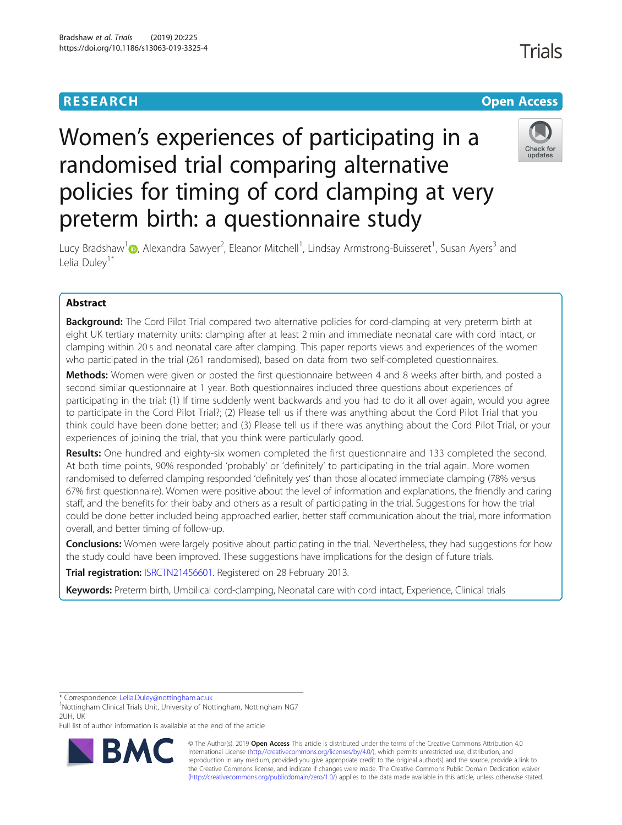## **RESEARCH CHE Open Access**

# Women's experiences of participating in a randomised trial comparing alternative policies for timing of cord clamping at very preterm birth: a questionnaire study



Lucy Bradshaw<sup>1</sup> (@[,](http://orcid.org/0000-0001-8382-6040) Alexandra Sawyer<sup>2</sup>, Eleanor Mitchell<sup>1</sup>, Lindsay Armstrong-Buisseret<sup>1</sup>, Susan Ayers<sup>3</sup> and Lelia Dulev<sup>1\*</sup>

## Abstract

**Background:** The Cord Pilot Trial compared two alternative policies for cord-clamping at very preterm birth at eight UK tertiary maternity units: clamping after at least 2 min and immediate neonatal care with cord intact, or clamping within 20 s and neonatal care after clamping. This paper reports views and experiences of the women who participated in the trial (261 randomised), based on data from two self-completed questionnaires.

Methods: Women were given or posted the first questionnaire between 4 and 8 weeks after birth, and posted a second similar questionnaire at 1 year. Both questionnaires included three questions about experiences of participating in the trial: (1) If time suddenly went backwards and you had to do it all over again, would you agree to participate in the Cord Pilot Trial?; (2) Please tell us if there was anything about the Cord Pilot Trial that you think could have been done better; and (3) Please tell us if there was anything about the Cord Pilot Trial, or your experiences of joining the trial, that you think were particularly good.

Results: One hundred and eighty-six women completed the first questionnaire and 133 completed the second. At both time points, 90% responded 'probably' or 'definitely' to participating in the trial again. More women randomised to deferred clamping responded 'definitely yes' than those allocated immediate clamping (78% versus 67% first questionnaire). Women were positive about the level of information and explanations, the friendly and caring staff, and the benefits for their baby and others as a result of participating in the trial. Suggestions for how the trial could be done better included being approached earlier, better staff communication about the trial, more information overall, and better timing of follow-up.

**Conclusions:** Women were largely positive about participating in the trial. Nevertheless, they had suggestions for how the study could have been improved. These suggestions have implications for the design of future trials.

Trial registration: [ISRCTN21456601.](http://www.isrctn.com/ISRCTN21456601) Registered on 28 February 2013.

Keywords: Preterm birth, Umbilical cord-clamping, Neonatal care with cord intact, Experience, Clinical trials

\* Correspondence: [Lelia.Duley@nottingham.ac.uk](mailto:Lelia.Duley@nottingham.ac.uk) <sup>1</sup>

Full list of author information is available at the end of the article



© The Author(s). 2019 **Open Access** This article is distributed under the terms of the Creative Commons Attribution 4.0 International License [\(http://creativecommons.org/licenses/by/4.0/](http://creativecommons.org/licenses/by/4.0/)), which permits unrestricted use, distribution, and reproduction in any medium, provided you give appropriate credit to the original author(s) and the source, provide a link to the Creative Commons license, and indicate if changes were made. The Creative Commons Public Domain Dedication waiver [\(http://creativecommons.org/publicdomain/zero/1.0/](http://creativecommons.org/publicdomain/zero/1.0/)) applies to the data made available in this article, unless otherwise stated.

<sup>&</sup>lt;sup>1</sup>Nottingham Clinical Trials Unit, University of Nottingham, Nottingham NG7 2UH, UK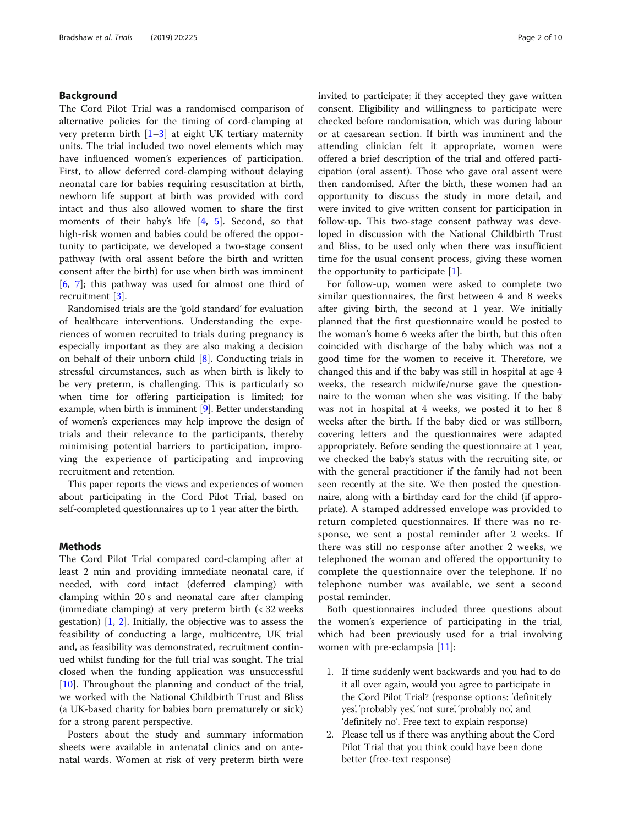## Background

The Cord Pilot Trial was a randomised comparison of alternative policies for the timing of cord-clamping at very preterm birth  $[1-3]$  $[1-3]$  $[1-3]$  $[1-3]$  at eight UK tertiary maternity units. The trial included two novel elements which may have influenced women's experiences of participation. First, to allow deferred cord-clamping without delaying neonatal care for babies requiring resuscitation at birth, newborn life support at birth was provided with cord intact and thus also allowed women to share the first moments of their baby's life [\[4](#page-9-0), [5](#page-9-0)]. Second, so that high-risk women and babies could be offered the opportunity to participate, we developed a two-stage consent pathway (with oral assent before the birth and written consent after the birth) for use when birth was imminent [[6,](#page-9-0) [7\]](#page-9-0); this pathway was used for almost one third of recruitment [\[3](#page-9-0)].

Randomised trials are the 'gold standard' for evaluation of healthcare interventions. Understanding the experiences of women recruited to trials during pregnancy is especially important as they are also making a decision on behalf of their unborn child [[8](#page-9-0)]. Conducting trials in stressful circumstances, such as when birth is likely to be very preterm, is challenging. This is particularly so when time for offering participation is limited; for example, when birth is imminent [\[9](#page-9-0)]. Better understanding of women's experiences may help improve the design of trials and their relevance to the participants, thereby minimising potential barriers to participation, improving the experience of participating and improving recruitment and retention.

This paper reports the views and experiences of women about participating in the Cord Pilot Trial, based on self-completed questionnaires up to 1 year after the birth.

#### **Methods**

The Cord Pilot Trial compared cord-clamping after at least 2 min and providing immediate neonatal care, if needed, with cord intact (deferred clamping) with clamping within 20 s and neonatal care after clamping (immediate clamping) at very preterm birth (< 32 weeks gestation) [\[1](#page-9-0), [2\]](#page-9-0). Initially, the objective was to assess the feasibility of conducting a large, multicentre, UK trial and, as feasibility was demonstrated, recruitment continued whilst funding for the full trial was sought. The trial closed when the funding application was unsuccessful [[10\]](#page-9-0). Throughout the planning and conduct of the trial, we worked with the National Childbirth Trust and Bliss (a UK-based charity for babies born prematurely or sick) for a strong parent perspective.

Posters about the study and summary information sheets were available in antenatal clinics and on antenatal wards. Women at risk of very preterm birth were invited to participate; if they accepted they gave written consent. Eligibility and willingness to participate were checked before randomisation, which was during labour or at caesarean section. If birth was imminent and the attending clinician felt it appropriate, women were offered a brief description of the trial and offered participation (oral assent). Those who gave oral assent were then randomised. After the birth, these women had an opportunity to discuss the study in more detail, and were invited to give written consent for participation in follow-up. This two-stage consent pathway was developed in discussion with the National Childbirth Trust and Bliss, to be used only when there was insufficient time for the usual consent process, giving these women the opportunity to participate  $[1]$  $[1]$ .

For follow-up, women were asked to complete two similar questionnaires, the first between 4 and 8 weeks after giving birth, the second at 1 year. We initially planned that the first questionnaire would be posted to the woman's home 6 weeks after the birth, but this often coincided with discharge of the baby which was not a good time for the women to receive it. Therefore, we changed this and if the baby was still in hospital at age 4 weeks, the research midwife/nurse gave the questionnaire to the woman when she was visiting. If the baby was not in hospital at 4 weeks, we posted it to her 8 weeks after the birth. If the baby died or was stillborn, covering letters and the questionnaires were adapted appropriately. Before sending the questionnaire at 1 year, we checked the baby's status with the recruiting site, or with the general practitioner if the family had not been seen recently at the site. We then posted the questionnaire, along with a birthday card for the child (if appropriate). A stamped addressed envelope was provided to return completed questionnaires. If there was no response, we sent a postal reminder after 2 weeks. If there was still no response after another 2 weeks, we telephoned the woman and offered the opportunity to complete the questionnaire over the telephone. If no telephone number was available, we sent a second postal reminder.

Both questionnaires included three questions about the women's experience of participating in the trial, which had been previously used for a trial involving women with pre-eclampsia [\[11](#page-9-0)]:

- 1. If time suddenly went backwards and you had to do it all over again, would you agree to participate in the Cord Pilot Trial? (response options: 'definitely yes', 'probably yes', 'not sure', 'probably no', and 'definitely no'. Free text to explain response)
- 2. Please tell us if there was anything about the Cord Pilot Trial that you think could have been done better (free-text response)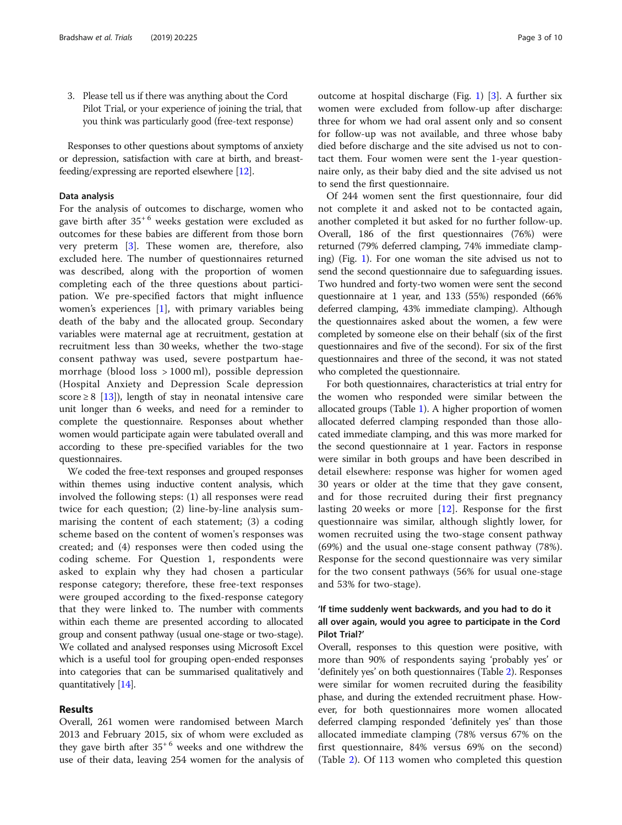3. Please tell us if there was anything about the Cord Pilot Trial, or your experience of joining the trial, that you think was particularly good (free-text response)

Responses to other questions about symptoms of anxiety or depression, satisfaction with care at birth, and breastfeeding/expressing are reported elsewhere [[12](#page-9-0)].

#### Data analysis

For the analysis of outcomes to discharge, women who gave birth after  $35^{+6}$  weeks gestation were excluded as outcomes for these babies are different from those born very preterm [[3\]](#page-9-0). These women are, therefore, also excluded here. The number of questionnaires returned was described, along with the proportion of women completing each of the three questions about participation. We pre-specified factors that might influence women's experiences [[1](#page-9-0)], with primary variables being death of the baby and the allocated group. Secondary variables were maternal age at recruitment, gestation at recruitment less than 30 weeks, whether the two-stage consent pathway was used, severe postpartum haemorrhage (blood loss > 1000 ml), possible depression (Hospital Anxiety and Depression Scale depression score  $\geq$  8 [\[13\]](#page-9-0)), length of stay in neonatal intensive care unit longer than 6 weeks, and need for a reminder to complete the questionnaire. Responses about whether women would participate again were tabulated overall and according to these pre-specified variables for the two questionnaires.

We coded the free-text responses and grouped responses within themes using inductive content analysis, which involved the following steps: (1) all responses were read twice for each question; (2) line-by-line analysis summarising the content of each statement; (3) a coding scheme based on the content of women's responses was created; and (4) responses were then coded using the coding scheme. For Question 1, respondents were asked to explain why they had chosen a particular response category; therefore, these free-text responses were grouped according to the fixed-response category that they were linked to. The number with comments within each theme are presented according to allocated group and consent pathway (usual one-stage or two-stage). We collated and analysed responses using Microsoft Excel which is a useful tool for grouping open-ended responses into categories that can be summarised qualitatively and quantitatively [\[14\]](#page-9-0).

## Results

Overall, 261 women were randomised between March 2013 and February 2015, six of whom were excluded as they gave birth after  $35^{+6}$  weeks and one withdrew the use of their data, leaving 254 women for the analysis of outcome at hospital discharge (Fig. [1](#page-3-0)) [\[3](#page-9-0)]. A further six women were excluded from follow-up after discharge: three for whom we had oral assent only and so consent for follow-up was not available, and three whose baby died before discharge and the site advised us not to contact them. Four women were sent the 1-year questionnaire only, as their baby died and the site advised us not to send the first questionnaire.

Of 244 women sent the first questionnaire, four did not complete it and asked not to be contacted again, another completed it but asked for no further follow-up. Overall, 186 of the first questionnaires (76%) were returned (79% deferred clamping, 74% immediate clamping) (Fig. [1\)](#page-3-0). For one woman the site advised us not to send the second questionnaire due to safeguarding issues. Two hundred and forty-two women were sent the second questionnaire at 1 year, and 133 (55%) responded (66% deferred clamping, 43% immediate clamping). Although the questionnaires asked about the women, a few were completed by someone else on their behalf (six of the first questionnaires and five of the second). For six of the first questionnaires and three of the second, it was not stated who completed the questionnaire.

For both questionnaires, characteristics at trial entry for the women who responded were similar between the allocated groups (Table [1\)](#page-4-0). A higher proportion of women allocated deferred clamping responded than those allocated immediate clamping, and this was more marked for the second questionnaire at 1 year. Factors in response were similar in both groups and have been described in detail elsewhere: response was higher for women aged 30 years or older at the time that they gave consent, and for those recruited during their first pregnancy lasting 20 weeks or more [[12\]](#page-9-0). Response for the first questionnaire was similar, although slightly lower, for women recruited using the two-stage consent pathway (69%) and the usual one-stage consent pathway (78%). Response for the second questionnaire was very similar for the two consent pathways (56% for usual one-stage and 53% for two-stage).

## 'If time suddenly went backwards, and you had to do it all over again, would you agree to participate in the Cord Pilot Trial?'

Overall, responses to this question were positive, with more than 90% of respondents saying 'probably yes' or 'definitely yes' on both questionnaires (Table [2\)](#page-5-0). Responses were similar for women recruited during the feasibility phase, and during the extended recruitment phase. However, for both questionnaires more women allocated deferred clamping responded 'definitely yes' than those allocated immediate clamping (78% versus 67% on the first questionnaire, 84% versus 69% on the second) (Table [2](#page-5-0)). Of 113 women who completed this question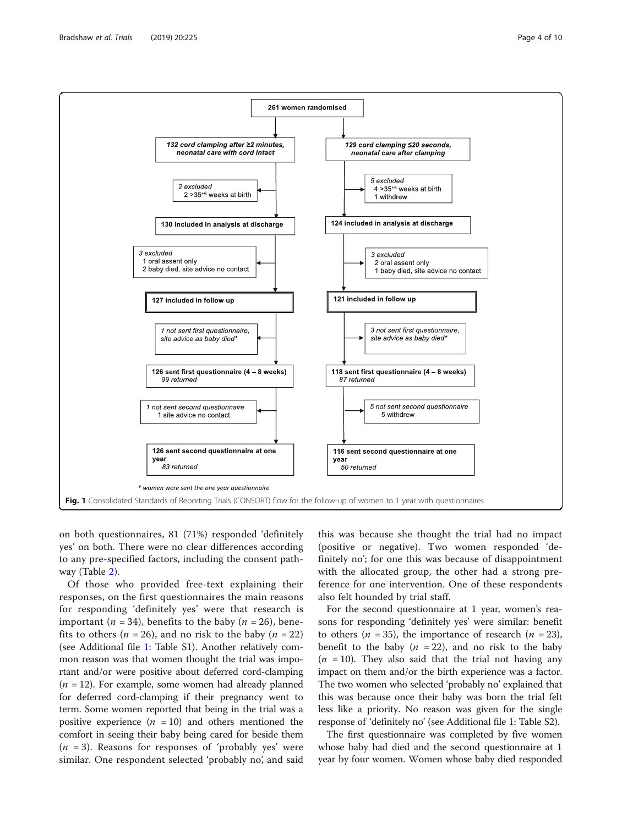<span id="page-3-0"></span>

on both questionnaires, 81 (71%) responded 'definitely yes' on both. There were no clear differences according to any pre-specified factors, including the consent pathway (Table [2](#page-5-0)).

Of those who provided free-text explaining their responses, on the first questionnaires the main reasons for responding 'definitely yes' were that research is important (*n* = 34), benefits to the baby (*n* = 26), benefits to others ( $n = 26$ ), and no risk to the baby ( $n = 22$ ) (see Additional file [1:](#page-8-0) Table S1). Another relatively common reason was that women thought the trial was important and/or were positive about deferred cord-clamping  $(n = 12)$ . For example, some women had already planned for deferred cord-clamping if their pregnancy went to term. Some women reported that being in the trial was a positive experience  $(n = 10)$  and others mentioned the comfort in seeing their baby being cared for beside them  $(n = 3)$ . Reasons for responses of 'probably yes' were similar. One respondent selected 'probably no', and said

this was because she thought the trial had no impact (positive or negative). Two women responded 'definitely no'; for one this was because of disappointment with the allocated group, the other had a strong preference for one intervention. One of these respondents also felt hounded by trial staff.

For the second questionnaire at 1 year, women's reasons for responding 'definitely yes' were similar: benefit to others ( $n = 35$ ), the importance of research ( $n = 23$ ), benefit to the baby  $(n = 22)$ , and no risk to the baby  $(n = 10)$ . They also said that the trial not having any impact on them and/or the birth experience was a factor. The two women who selected 'probably no' explained that this was because once their baby was born the trial felt less like a priority. No reason was given for the single response of 'definitely no' (see Additional file [1](#page-8-0): Table S2).

The first questionnaire was completed by five women whose baby had died and the second questionnaire at 1 year by four women. Women whose baby died responded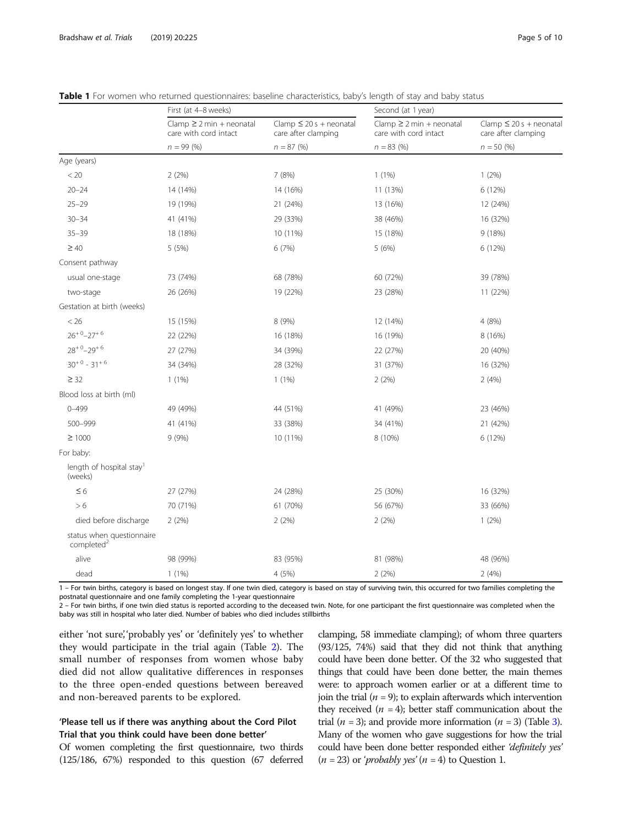|                                                     | First (at 4-8 weeks)                                   |                                                    | Second (at 1 year)                                     |                                                                     |  |  |
|-----------------------------------------------------|--------------------------------------------------------|----------------------------------------------------|--------------------------------------------------------|---------------------------------------------------------------------|--|--|
|                                                     | $Clamp \geq 2 min + neonatal$<br>care with cord intact | Clamp $\leq 20s$ + neonatal<br>care after clamping | $Clamp \geq 2 min + neonatal$<br>care with cord intact | Clamp $\leq$ 20 s + neonatal<br>care after clamping<br>$n = 50 (%)$ |  |  |
|                                                     | $n = 99(%)$                                            | $n = 87 \, (%)$                                    | $n = 83$ (%)                                           |                                                                     |  |  |
| Age (years)                                         |                                                        |                                                    |                                                        |                                                                     |  |  |
| < 20                                                | 2(2%)                                                  | 7 (8%)                                             | $1(1\%)$                                               | $1(2\%)$                                                            |  |  |
| $20 - 24$                                           | 14 (14%)                                               | 14 (16%)                                           | 11 (13%)                                               | 6 (12%)                                                             |  |  |
| $25 - 29$                                           | 19 (19%)                                               | 21 (24%)                                           | 13 (16%)                                               | 12 (24%)                                                            |  |  |
| $30 - 34$                                           | 41 (41%)                                               | 29 (33%)                                           | 38 (46%)                                               | 16 (32%)                                                            |  |  |
| $35 - 39$                                           | 18 (18%)                                               | 10 (11%)                                           | 15 (18%)                                               | 9 (18%)                                                             |  |  |
| $\geq 40$                                           | 5(5%)                                                  | 6 (7%)                                             | 5 (6%)                                                 | 6 (12%)                                                             |  |  |
| Consent pathway                                     |                                                        |                                                    |                                                        |                                                                     |  |  |
| usual one-stage                                     | 73 (74%)                                               | 68 (78%)                                           | 60 (72%)                                               | 39 (78%)                                                            |  |  |
| two-stage                                           | 26 (26%)                                               | 19 (22%)                                           | 23 (28%)                                               | 11 (22%)                                                            |  |  |
| Gestation at birth (weeks)                          |                                                        |                                                    |                                                        |                                                                     |  |  |
| < 26                                                | 15 (15%)                                               | 8 (9%)                                             | 12 (14%)                                               | 4 (8%)                                                              |  |  |
| $26^{+0} - 27^{+6}$                                 | 22 (22%)                                               | 16 (18%)                                           | 16 (19%)                                               | 8 (16%)                                                             |  |  |
| $28^{+0} - 29^{+6}$                                 | 27 (27%)                                               | 34 (39%)                                           | 22 (27%)                                               | 20 (40%)                                                            |  |  |
| $30^{+0} - 31^{+6}$                                 | 34 (34%)                                               | 28 (32%)                                           | 31 (37%)                                               | 16 (32%)                                                            |  |  |
| $\geq$ 32                                           | $1(1\%)$                                               | $1(1\%)$                                           | 2(2%)                                                  | 2(4%)                                                               |  |  |
| Blood loss at birth (ml)                            |                                                        |                                                    |                                                        |                                                                     |  |  |
| $0 - 499$                                           | 49 (49%)                                               | 44 (51%)                                           | 41 (49%)                                               | 23 (46%)                                                            |  |  |
| 500-999                                             | 41 (41%)                                               | 33 (38%)                                           | 34 (41%)                                               | 21 (42%)                                                            |  |  |
| $\geq 1000$                                         | 9(9%)                                                  | 10 (11%)                                           | 8 (10%)                                                | 6 (12%)                                                             |  |  |
| For baby:                                           |                                                        |                                                    |                                                        |                                                                     |  |  |
| length of hospital stay <sup>1</sup><br>(weeks)     |                                                        |                                                    |                                                        |                                                                     |  |  |
| $\leq 6$                                            | 27 (27%)                                               | 24 (28%)                                           | 25 (30%)                                               | 16 (32%)                                                            |  |  |
| > 6                                                 | 70 (71%)                                               | 61 (70%)                                           | 56 (67%)                                               | 33 (66%)                                                            |  |  |
| died before discharge                               | 2(2%)                                                  | 2(2%)                                              | 2(2%)                                                  | $1(2\%)$                                                            |  |  |
| status when questionnaire<br>completed <sup>2</sup> |                                                        |                                                    |                                                        |                                                                     |  |  |
| alive                                               | 98 (99%)                                               | 83 (95%)                                           | 81 (98%)                                               | 48 (96%)                                                            |  |  |
| $1(1\%)$<br>dead                                    |                                                        | 4 (5%)                                             | 2(2%)                                                  | 2(4%)                                                               |  |  |

<span id="page-4-0"></span>Table 1 For women who returned questionnaires: baseline characteristics, baby's length of stay and baby status

For twin births, category is based on longest stay. If one twin died, category is based on stay of surviving twin, this occurred for two families completing the postnatal questionnaire and one family completing the 1-year questionnaire

2 – For twin births, if one twin died status is reported according to the deceased twin. Note, for one participant the first questionnaire was completed when the baby was still in hospital who later died. Number of babies who died includes stillbirths

either 'not sure', 'probably yes' or 'definitely yes' to whether they would participate in the trial again (Table [2\)](#page-5-0). The small number of responses from women whose baby died did not allow qualitative differences in responses to the three open-ended questions between bereaved and non-bereaved parents to be explored.

## 'Please tell us if there was anything about the Cord Pilot Trial that you think could have been done better'

Of women completing the first questionnaire, two thirds (125/186, 67%) responded to this question (67 deferred

clamping, 58 immediate clamping); of whom three quarters (93/125, 74%) said that they did not think that anything could have been done better. Of the 32 who suggested that things that could have been done better, the main themes were: to approach women earlier or at a different time to join the trial ( $n = 9$ ); to explain afterwards which intervention they received  $(n = 4)$ ; better staff communication about the trial ( $n = 3$ ); and provide more information ( $n = 3$ ) (Table [3\)](#page-6-0). Many of the women who gave suggestions for how the trial could have been done better responded either 'definitely yes'  $(n = 23)$  or '*probably yes'*  $(n = 4)$  to Question 1.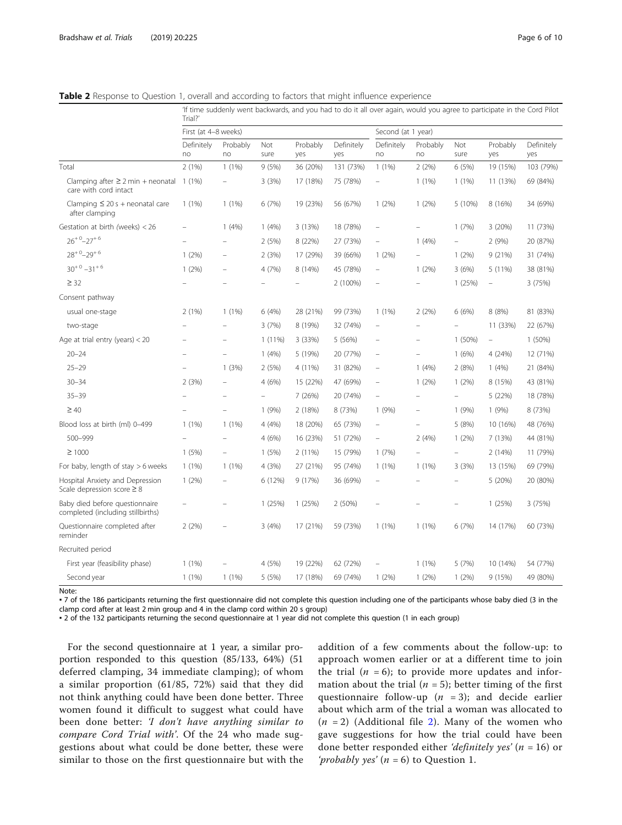<span id="page-5-0"></span>Table 2 Response to Question 1, overall and according to factors that might influence experience

|                                                                     | If time suddenly went backwards, and you had to do it all over again, would you agree to participate in the Cord Pilot<br>Trial?' |                |             |                 |                   |                                   |                          |                          |                                   |                   |
|---------------------------------------------------------------------|-----------------------------------------------------------------------------------------------------------------------------------|----------------|-------------|-----------------|-------------------|-----------------------------------|--------------------------|--------------------------|-----------------------------------|-------------------|
|                                                                     | First (at 4-8 weeks)                                                                                                              |                |             |                 |                   | Second (at 1 year)                |                          |                          |                                   |                   |
|                                                                     | Definitely<br>no                                                                                                                  | Probably<br>no | Not<br>sure | Probably<br>yes | Definitely<br>yes | Definitely<br>no                  | Probably<br>no           | Not<br>sure              | Probably<br>yes                   | Definitely<br>yes |
| Total                                                               | 2(1%)                                                                                                                             | 1(1%)          | 9(5%)       | 36 (20%)        | 131 (73%)         | $1(1\%)$                          | 2(2%)                    | 6 (5%)                   | 19 (15%)                          | 103 (79%)         |
| Clamping after $\geq 2$ min + neonatal<br>care with cord intact     | $1(1\%)$                                                                                                                          |                | 3(3%)       | 17 (18%)        | 75 (78%)          |                                   | $1(1\%)$                 | $1(1\%)$                 | 11 (13%)                          | 69 (84%)          |
| Clamping $\leq$ 20 s + neonatal care<br>after clamping              | $1(1\%)$                                                                                                                          | $1(1\%)$       | 6(7%)       | 19 (23%)        | 56 (67%)          | 1(2%)                             | 1(2%)                    | 5 (10%)                  | 8 (16%)                           | 34 (69%)          |
| Gestation at birth (weeks) < 26                                     |                                                                                                                                   | 1(4%)          | 1(4%)       | 3 (13%)         | 18 (78%)          | $\hspace{1.0cm} - \hspace{1.0cm}$ | $\overline{\phantom{0}}$ | 1(7%)                    | 3 (20%)                           | 11 (73%)          |
| $26^{+0} - 27^{+6}$                                                 |                                                                                                                                   |                | 2(5%)       | 8 (22%)         | 27 (73%)          |                                   | 1(4%)                    |                          | 2(9%)                             | 20 (87%)          |
| $28^{+0} - 29^{+6}$                                                 | $1(2\%)$                                                                                                                          |                | 2(3%)       | 17 (29%)        | 39 (66%)          | $1(2\%)$                          |                          | 1(2%)                    | 9(21%)                            | 31 (74%)          |
| $30^{+0} - 31^{+6}$                                                 | $1(2\%)$                                                                                                                          |                | 4 (7%)      | 8 (14%)         | 45 (78%)          | i.                                | $1(2\%)$                 | 3(6%)                    | 5(11%)                            | 38 (81%)          |
| $\geq$ 32                                                           |                                                                                                                                   |                |             |                 | 2 (100%)          |                                   |                          | 1(25%)                   | $\hspace{1.0cm} - \hspace{1.0cm}$ | 3(75%)            |
| Consent pathway                                                     |                                                                                                                                   |                |             |                 |                   |                                   |                          |                          |                                   |                   |
| usual one-stage                                                     | 2(1%)                                                                                                                             | $1(1\%)$       | 6 (4%)      | 28 (21%)        | 99 (73%)          | $1(1\%)$                          | 2(2%)                    | 6 (6%)                   | 8 (8%)                            | 81 (83%)          |
| two-stage                                                           |                                                                                                                                   |                | 3(7%)       | 8 (19%)         | 32 (74%)          | $\overline{\phantom{0}}$          |                          | $\overline{\phantom{0}}$ | 11 (33%)                          | 22 (67%)          |
| Age at trial entry (years) $<$ 20                                   |                                                                                                                                   |                | $1(11\%)$   | 3 (33%)         | 5 (56%)           |                                   |                          | 1 (50%)                  | $\hspace{1.0cm} - \hspace{1.0cm}$ | 1(50%)            |
| $20 - 24$                                                           |                                                                                                                                   |                | 1(4%)       | 5 (19%)         | 20 (77%)          | $\overline{\phantom{a}}$          | $\overline{\phantom{0}}$ | 1(6%)                    | 4(24%)                            | 12 (71%)          |
| $25 - 29$                                                           |                                                                                                                                   | 1(3%)          | 2(5%)       | 4 (11%)         | 31 (82%)          | $\overline{\phantom{a}}$          | 1(4%)                    | 2(8%)                    | 1(4%)                             | 21 (84%)          |
| $30 - 34$                                                           | 2(3%)                                                                                                                             |                | 4 (6%)      | 15 (22%)        | 47 (69%)          |                                   | 1(2%)                    | 1(2%)                    | 8 (15%)                           | 43 (81%)          |
| $35 - 39$                                                           |                                                                                                                                   |                |             | 7 (26%)         | 20 (74%)          | $\overline{\phantom{0}}$          |                          | $\overline{\phantom{0}}$ | 5 (22%)                           | 18 (78%)          |
| $\geq 40$                                                           |                                                                                                                                   |                | 1 (9%)      | 2 (18%)         | 8 (73%)           | 1(9%)                             |                          | 1(9%)                    | 1(9%)                             | 8 (73%)           |
| Blood loss at birth (ml) 0-499                                      | $1(1\%)$                                                                                                                          | $1(1\%)$       | 4 (4%)      | 18 (20%)        | 65 (73%)          | ÷                                 |                          | 5 (8%)                   | 10 (16%)                          | 48 (76%)          |
| 500-999                                                             |                                                                                                                                   |                | 4(6%)       | 16 (23%)        | 51 (72%)          | $\qquad \qquad -$                 | 2(4%)                    | 1(2%)                    | 7 (13%)                           | 44 (81%)          |
| $\geq 1000$                                                         | 1(5%)                                                                                                                             |                | 1(5%)       | $2(11\%)$       | 15 (79%)          | 1(7%)                             |                          | $\overline{\phantom{0}}$ | 2(14%)                            | 11 (79%)          |
| For baby, length of stay $>6$ weeks                                 | 1(1%)                                                                                                                             | $1(1\%)$       | 4 (3%)      | 27 (21%)        | 95 (74%)          | 1(1%)                             | $1(1\%)$                 | 3(3%)                    | 13 (15%)                          | 69 (79%)          |
| Hospital Anxiety and Depression<br>Scale depression score $\geq 8$  | 1(2%)                                                                                                                             |                | 6 (12%)     | 9 (17%)         | 36 (69%)          |                                   |                          |                          | 5 (20%)                           | 20 (80%)          |
| Baby died before questionnaire<br>completed (including stillbirths) |                                                                                                                                   |                | 1(25%)      | 1(25%)          | 2(50%)            |                                   |                          | $\overline{\phantom{0}}$ | 1(25%)                            | 3(75%)            |
| Questionnaire completed after<br>reminder                           | 2(2%)                                                                                                                             |                | 3(4%)       | 17 (21%)        | 59 (73%)          | $1(1\%)$                          | $1(1\%)$                 | 6(7%)                    | 14 (17%)                          | 60 (73%)          |
| Recruited period                                                    |                                                                                                                                   |                |             |                 |                   |                                   |                          |                          |                                   |                   |
| First year (feasibility phase)                                      | 1(1%)                                                                                                                             |                | 4 (5%)      | 19 (22%)        | 62 (72%)          | i.                                | $1(1\%)$                 | 5(7%)                    | 10 (14%)                          | 54 (77%)          |
| Second year                                                         | $1(1\%)$                                                                                                                          | $1(1\%)$       | 5 (5%)      | 17 (18%)        | 69 (74%)          | 1(2%)                             | 1(2%)                    | 1(2%)                    | 9(15%)                            | 49 (80%)          |

Note:

▪ 7 of the 186 participants returning the first questionnaire did not complete this question including one of the participants whose baby died (3 in the clamp cord after at least 2 min group and 4 in the clamp cord within 20 s group)

▪ 2 of the 132 participants returning the second questionnaire at 1 year did not complete this question (1 in each group)

For the second questionnaire at 1 year, a similar proportion responded to this question (85/133, 64%) (51 deferred clamping, 34 immediate clamping); of whom a similar proportion (61/85, 72%) said that they did not think anything could have been done better. Three women found it difficult to suggest what could have been done better: 'I don't have anything similar to compare Cord Trial with'. Of the 24 who made suggestions about what could be done better, these were similar to those on the first questionnaire but with the addition of a few comments about the follow-up: to approach women earlier or at a different time to join the trial  $(n = 6)$ ; to provide more updates and information about the trial ( $n = 5$ ); better timing of the first questionnaire follow-up  $(n = 3)$ ; and decide earlier about which arm of the trial a woman was allocated to  $(n = 2)$  $(n = 2)$  $(n = 2)$  (Additional file 2). Many of the women who gave suggestions for how the trial could have been done better responded either *'definitely yes'* ( $n = 16$ ) or '*probably yes'*  $(n = 6)$  to Question 1.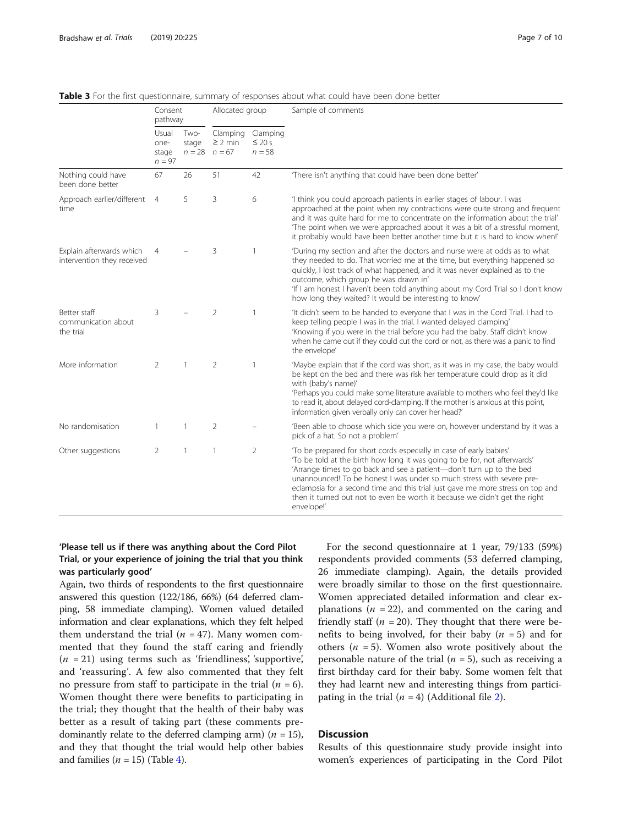|                                                        | Consent<br>pathway                 |               | Allocated group                               |                                     | Sample of comments                                                                                                                                                                                                                                                                                                                                                                                                                                                            |  |  |
|--------------------------------------------------------|------------------------------------|---------------|-----------------------------------------------|-------------------------------------|-------------------------------------------------------------------------------------------------------------------------------------------------------------------------------------------------------------------------------------------------------------------------------------------------------------------------------------------------------------------------------------------------------------------------------------------------------------------------------|--|--|
|                                                        | Usual<br>one-<br>stage<br>$n = 97$ | Two-<br>stage | Clamping<br>$\geq$ 2 min<br>$n = 28$ $n = 67$ | Clamping<br>$\leq$ 20 s<br>$n = 58$ |                                                                                                                                                                                                                                                                                                                                                                                                                                                                               |  |  |
| Nothing could have<br>been done better                 | 67                                 | 26            | 51                                            | 42                                  | There isn't anything that could have been done better'                                                                                                                                                                                                                                                                                                                                                                                                                        |  |  |
| Approach earlier/different<br>time                     | $\overline{4}$                     | 5             | 3                                             | 6                                   | 'I think you could approach patients in earlier stages of labour. I was<br>approached at the point when my contractions were quite strong and frequent<br>and it was quite hard for me to concentrate on the information about the trial'<br>The point when we were approached about it was a bit of a stressful moment,<br>it probably would have been better another time but it is hard to know when!'                                                                     |  |  |
| Explain afterwards which<br>intervention they received | $\overline{4}$                     |               | 3                                             | $\mathbf{1}$                        | 'During my section and after the doctors and nurse were at odds as to what<br>they needed to do. That worried me at the time, but everything happened so<br>quickly, I lost track of what happened, and it was never explained as to the<br>outcome, which group he was drawn in'<br>'If I am honest I haven't been told anything about my Cord Trial so I don't know<br>how long they waited? It would be interesting to know'                                               |  |  |
| Better staff<br>communication about<br>the trial       | 3                                  |               | $\overline{2}$                                | $\mathbf{1}$                        | 'It didn't seem to be handed to everyone that I was in the Cord Trial. I had to<br>keep telling people I was in the trial. I wanted delayed clamping'<br>'Knowing if you were in the trial before you had the baby. Staff didn't know<br>when he came out if they could cut the cord or not, as there was a panic to find<br>the envelope'                                                                                                                                    |  |  |
| More information                                       | 2                                  |               | $\overline{2}$                                | $\mathbf{1}$                        | 'Maybe explain that if the cord was short, as it was in my case, the baby would<br>be kept on the bed and there was risk her temperature could drop as it did<br>with (baby's name)'<br>'Perhaps you could make some literature available to mothers who feel they'd like<br>to read it, about delayed cord-clamping. If the mother is anxious at this point,<br>information given verbally only can cover her head?'                                                         |  |  |
| No randomisation                                       | 1                                  | 1             | 2                                             |                                     | 'Been able to choose which side you were on, however understand by it was a<br>pick of a hat. So not a problem'                                                                                                                                                                                                                                                                                                                                                               |  |  |
| Other suggestions                                      | 2                                  | 1             | 1                                             | 2                                   | To be prepared for short cords especially in case of early babies'<br>To be told at the birth how long it was going to be for, not afterwards'<br>'Arrange times to go back and see a patient-don't turn up to the bed<br>unannounced! To be honest I was under so much stress with severe pre-<br>eclampsia for a second time and this trial just gave me more stress on top and<br>then it turned out not to even be worth it because we didn't get the right<br>envelope!' |  |  |

<span id="page-6-0"></span>Table 3 For the first questionnaire, summary of responses about what could have been done better

## 'Please tell us if there was anything about the Cord Pilot Trial, or your experience of joining the trial that you think was particularly good'

Again, two thirds of respondents to the first questionnaire answered this question (122/186, 66%) (64 deferred clamping, 58 immediate clamping). Women valued detailed information and clear explanations, which they felt helped them understand the trial  $(n = 47)$ . Many women commented that they found the staff caring and friendly  $(n = 21)$  using terms such as 'friendliness', 'supportive', and 'reassuring'. A few also commented that they felt no pressure from staff to participate in the trial  $(n = 6)$ . Women thought there were benefits to participating in the trial; they thought that the health of their baby was better as a result of taking part (these comments predominantly relate to the deferred clamping arm) ( $n = 15$ ), and they that thought the trial would help other babies and families  $(n = 15)$  (Table [4](#page-7-0)).

For the second questionnaire at 1 year, 79/133 (59%) respondents provided comments (53 deferred clamping, 26 immediate clamping). Again, the details provided were broadly similar to those on the first questionnaire. Women appreciated detailed information and clear explanations ( $n = 22$ ), and commented on the caring and friendly staff ( $n = 20$ ). They thought that there were benefits to being involved, for their baby  $(n = 5)$  and for others ( $n = 5$ ). Women also wrote positively about the personable nature of the trial ( $n = 5$ ), such as receiving a first birthday card for their baby. Some women felt that they had learnt new and interesting things from participating in the trial  $(n = 4)$  (Additional file [2\)](#page-8-0).

## **Discussion**

Results of this questionnaire study provide insight into women's experiences of participating in the Cord Pilot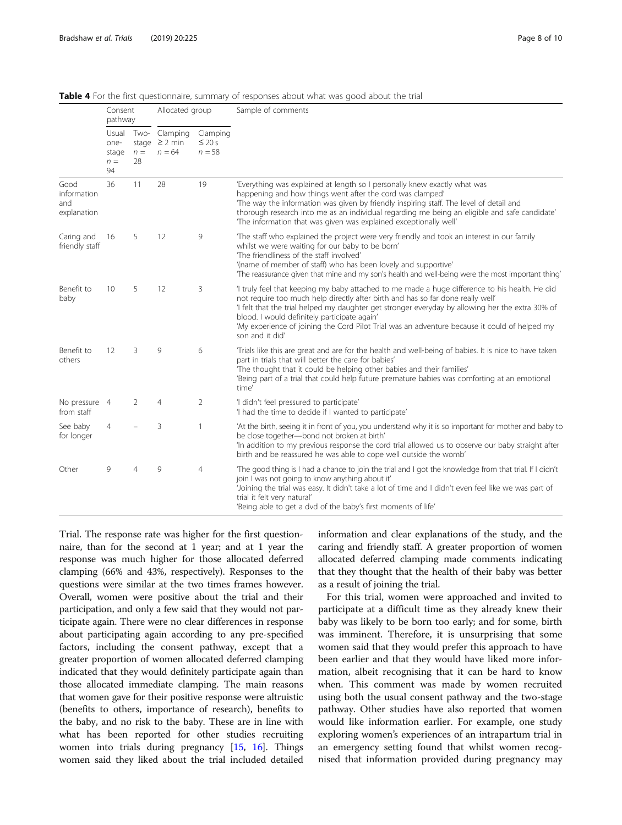|                                           | Consent<br>pathway                    |                     | Allocated group                            |                                     | Sample of comments                                                                                                                                                                                                                                                                                                                                                                                                                                       |  |  |  |
|-------------------------------------------|---------------------------------------|---------------------|--------------------------------------------|-------------------------------------|----------------------------------------------------------------------------------------------------------------------------------------------------------------------------------------------------------------------------------------------------------------------------------------------------------------------------------------------------------------------------------------------------------------------------------------------------------|--|--|--|
|                                           | Usual<br>one-<br>stage<br>$n =$<br>94 | Two-<br>$n =$<br>28 | Clamping<br>stage $\geq$ 2 min<br>$n = 64$ | Clamping<br>$\leq 20 s$<br>$n = 58$ |                                                                                                                                                                                                                                                                                                                                                                                                                                                          |  |  |  |
| Good<br>information<br>and<br>explanation | 36                                    | 11                  | 28                                         | 19                                  | 'Everything was explained at length so I personally knew exactly what was<br>happening and how things went after the cord was clamped'<br>The way the information was given by friendly inspiring staff. The level of detail and<br>thorough research into me as an individual regarding me being an eligible and safe candidate'<br>The information that was given was explained exceptionally well'                                                    |  |  |  |
| Caring and<br>friendly staff              | 16                                    | 5                   | 12                                         | 9                                   | The staff who explained the project were very friendly and took an interest in our family<br>whilst we were waiting for our baby to be born'<br>The friendliness of the staff involved'<br>'(name of member of staff) who has been lovely and supportive'<br>The reassurance given that mine and my son's health and well-being were the most important thing'                                                                                           |  |  |  |
| Benefit to<br>baby                        | 10                                    | 5                   | 12                                         | 3                                   | I truly feel that keeping my baby attached to me made a huge difference to his health. He did<br>not require too much help directly after birth and has so far done really well'<br>'I felt that the trial helped my daughter get stronger everyday by allowing her the extra 30% of<br>blood. I would definitely participate again'<br>'My experience of joining the Cord Pilot Trial was an adventure because it could of helped my<br>son and it did' |  |  |  |
| Benefit to<br>others                      | 12                                    | 3                   | 9                                          | 6                                   | Trials like this are great and are for the health and well-being of babies. It is nice to have taken<br>part in trials that will better the care for babies'<br>The thought that it could be helping other babies and their families'<br>'Being part of a trial that could help future premature babies was comforting at an emotional<br>time'                                                                                                          |  |  |  |
| No pressure 4<br>from staff               |                                       | 2                   | $\overline{4}$                             | 2                                   | 'I didn't feel pressured to participate'<br>'I had the time to decide if I wanted to participate'                                                                                                                                                                                                                                                                                                                                                        |  |  |  |
| See baby<br>for longer                    | $\overline{4}$                        |                     | 3                                          | $\mathbf{1}$                        | At the birth, seeing it in front of you, you understand why it is so important for mother and baby to<br>be close together-bond not broken at birth'<br>'In addition to my previous response the cord trial allowed us to observe our baby straight after<br>birth and be reassured he was able to cope well outside the womb'                                                                                                                           |  |  |  |
| Other                                     | 9                                     | 4                   | 9                                          | $\overline{4}$                      | The good thing is I had a chance to join the trial and I got the knowledge from that trial. If I didn't<br>join I was not going to know anything about it'<br>Joining the trial was easy. It didn't take a lot of time and I didn't even feel like we was part of<br>trial it felt very natural'<br>'Being able to get a dvd of the baby's first moments of life'                                                                                        |  |  |  |

<span id="page-7-0"></span>Table 4 For the first questionnaire, summary of responses about what was good about the trial

Trial. The response rate was higher for the first questionnaire, than for the second at 1 year; and at 1 year the response was much higher for those allocated deferred clamping (66% and 43%, respectively). Responses to the questions were similar at the two times frames however. Overall, women were positive about the trial and their participation, and only a few said that they would not participate again. There were no clear differences in response about participating again according to any pre-specified factors, including the consent pathway, except that a greater proportion of women allocated deferred clamping indicated that they would definitely participate again than those allocated immediate clamping. The main reasons that women gave for their positive response were altruistic (benefits to others, importance of research), benefits to the baby, and no risk to the baby. These are in line with what has been reported for other studies recruiting women into trials during pregnancy [[15](#page-9-0), [16](#page-9-0)]. Things women said they liked about the trial included detailed information and clear explanations of the study, and the caring and friendly staff. A greater proportion of women allocated deferred clamping made comments indicating that they thought that the health of their baby was better as a result of joining the trial.

For this trial, women were approached and invited to participate at a difficult time as they already knew their baby was likely to be born too early; and for some, birth was imminent. Therefore, it is unsurprising that some women said that they would prefer this approach to have been earlier and that they would have liked more information, albeit recognising that it can be hard to know when. This comment was made by women recruited using both the usual consent pathway and the two-stage pathway. Other studies have also reported that women would like information earlier. For example, one study exploring women's experiences of an intrapartum trial in an emergency setting found that whilst women recognised that information provided during pregnancy may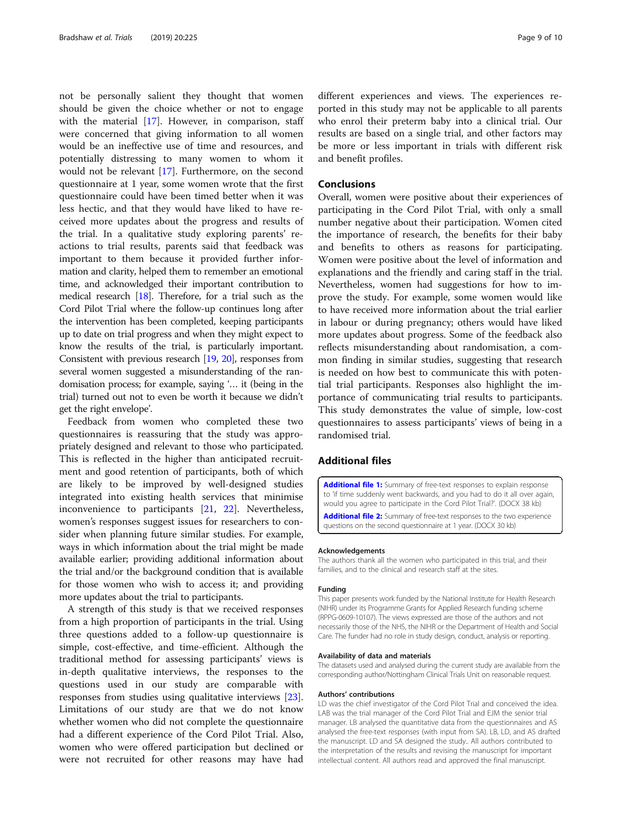<span id="page-8-0"></span>not be personally salient they thought that women should be given the choice whether or not to engage with the material [\[17](#page-9-0)]. However, in comparison, staff were concerned that giving information to all women would be an ineffective use of time and resources, and potentially distressing to many women to whom it would not be relevant [[17\]](#page-9-0). Furthermore, on the second questionnaire at 1 year, some women wrote that the first questionnaire could have been timed better when it was less hectic, and that they would have liked to have received more updates about the progress and results of the trial. In a qualitative study exploring parents' reactions to trial results, parents said that feedback was important to them because it provided further information and clarity, helped them to remember an emotional time, and acknowledged their important contribution to medical research [\[18](#page-9-0)]. Therefore, for a trial such as the Cord Pilot Trial where the follow-up continues long after the intervention has been completed, keeping participants up to date on trial progress and when they might expect to know the results of the trial, is particularly important. Consistent with previous research [[19](#page-9-0), [20\]](#page-9-0), responses from several women suggested a misunderstanding of the randomisation process; for example, saying '… it (being in the trial) turned out not to even be worth it because we didn't get the right envelope'.

Feedback from women who completed these two questionnaires is reassuring that the study was appropriately designed and relevant to those who participated. This is reflected in the higher than anticipated recruitment and good retention of participants, both of which are likely to be improved by well-designed studies integrated into existing health services that minimise inconvenience to participants [\[21](#page-9-0), [22\]](#page-9-0). Nevertheless, women's responses suggest issues for researchers to consider when planning future similar studies. For example, ways in which information about the trial might be made available earlier; providing additional information about the trial and/or the background condition that is available for those women who wish to access it; and providing more updates about the trial to participants.

A strength of this study is that we received responses from a high proportion of participants in the trial. Using three questions added to a follow-up questionnaire is simple, cost-effective, and time-efficient. Although the traditional method for assessing participants' views is in-depth qualitative interviews, the responses to the questions used in our study are comparable with responses from studies using qualitative interviews [\[23](#page-9-0)]. Limitations of our study are that we do not know whether women who did not complete the questionnaire had a different experience of the Cord Pilot Trial. Also, women who were offered participation but declined or were not recruited for other reasons may have had different experiences and views. The experiences reported in this study may not be applicable to all parents who enrol their preterm baby into a clinical trial. Our results are based on a single trial, and other factors may be more or less important in trials with different risk and benefit profiles.

## Conclusions

Overall, women were positive about their experiences of participating in the Cord Pilot Trial, with only a small number negative about their participation. Women cited the importance of research, the benefits for their baby and benefits to others as reasons for participating. Women were positive about the level of information and explanations and the friendly and caring staff in the trial. Nevertheless, women had suggestions for how to improve the study. For example, some women would like to have received more information about the trial earlier in labour or during pregnancy; others would have liked more updates about progress. Some of the feedback also reflects misunderstanding about randomisation, a common finding in similar studies, suggesting that research is needed on how best to communicate this with potential trial participants. Responses also highlight the importance of communicating trial results to participants. This study demonstrates the value of simple, low-cost questionnaires to assess participants' views of being in a randomised trial.

## Additional files

[Additional file 1:](https://doi.org/10.1186/s13063-019-3325-4) Summary of free-text responses to explain response to 'if time suddenly went backwards, and you had to do it all over again, would you agree to participate in the Cord Pilot Trial?'. (DOCX 38 kb)

[Additional file 2:](https://doi.org/10.1186/s13063-019-3325-4) Summary of free-text responses to the two experience questions on the second questionnaire at 1 year. (DOCX 30 kb)

#### Acknowledgements

The authors thank all the women who participated in this trial, and their families, and to the clinical and research staff at the sites.

#### Funding

This paper presents work funded by the National Institute for Health Research (NIHR) under its Programme Grants for Applied Research funding scheme (RPPG-0609-10107). The views expressed are those of the authors and not necessarily those of the NHS, the NIHR or the Department of Health and Social Care. The funder had no role in study design, conduct, analysis or reporting.

#### Availability of data and materials

The datasets used and analysed during the current study are available from the corresponding author/Nottingham Clinical Trials Unit on reasonable request.

#### Authors' contributions

LD was the chief investigator of the Cord Pilot Trial and conceived the idea. LAB was the trial manager of the Cord Pilot Trial and EJM the senior trial manager. LB analysed the quantitative data from the questionnaires and AS analysed the free-text responses (with input from SA). LB, LD, and AS drafted the manuscript. LD and SA designed the study.. All authors contributed to the interpretation of the results and revising the manuscript for important intellectual content. All authors read and approved the final manuscript.